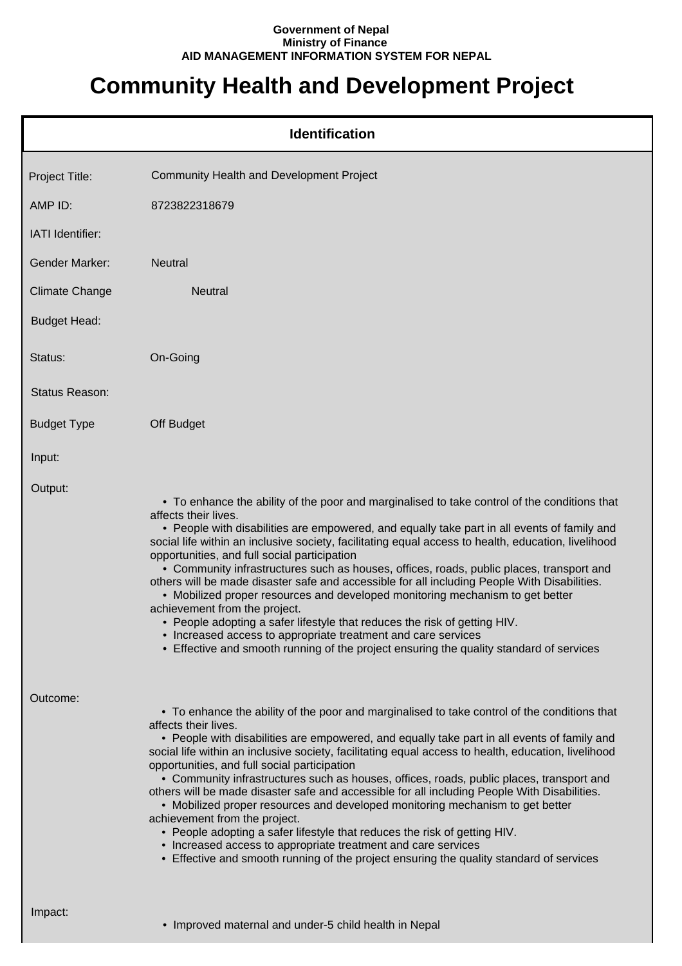## **Government of Nepal Ministry of Finance AID MANAGEMENT INFORMATION SYSTEM FOR NEPAL**

## **Community Health and Development Project**

|                       | <b>Identification</b>                                                                                                                                                                                                                                                                                                                                                                                                                                                                                                                                                                                                                                                                                                                                                                                                                                                                                                             |
|-----------------------|-----------------------------------------------------------------------------------------------------------------------------------------------------------------------------------------------------------------------------------------------------------------------------------------------------------------------------------------------------------------------------------------------------------------------------------------------------------------------------------------------------------------------------------------------------------------------------------------------------------------------------------------------------------------------------------------------------------------------------------------------------------------------------------------------------------------------------------------------------------------------------------------------------------------------------------|
| Project Title:        | <b>Community Health and Development Project</b>                                                                                                                                                                                                                                                                                                                                                                                                                                                                                                                                                                                                                                                                                                                                                                                                                                                                                   |
| AMP ID:               | 8723822318679                                                                                                                                                                                                                                                                                                                                                                                                                                                                                                                                                                                                                                                                                                                                                                                                                                                                                                                     |
| IATI Identifier:      |                                                                                                                                                                                                                                                                                                                                                                                                                                                                                                                                                                                                                                                                                                                                                                                                                                                                                                                                   |
| <b>Gender Marker:</b> | <b>Neutral</b>                                                                                                                                                                                                                                                                                                                                                                                                                                                                                                                                                                                                                                                                                                                                                                                                                                                                                                                    |
| <b>Climate Change</b> | Neutral                                                                                                                                                                                                                                                                                                                                                                                                                                                                                                                                                                                                                                                                                                                                                                                                                                                                                                                           |
| <b>Budget Head:</b>   |                                                                                                                                                                                                                                                                                                                                                                                                                                                                                                                                                                                                                                                                                                                                                                                                                                                                                                                                   |
| Status:               | On-Going                                                                                                                                                                                                                                                                                                                                                                                                                                                                                                                                                                                                                                                                                                                                                                                                                                                                                                                          |
| Status Reason:        |                                                                                                                                                                                                                                                                                                                                                                                                                                                                                                                                                                                                                                                                                                                                                                                                                                                                                                                                   |
| <b>Budget Type</b>    | Off Budget                                                                                                                                                                                                                                                                                                                                                                                                                                                                                                                                                                                                                                                                                                                                                                                                                                                                                                                        |
| Input:                |                                                                                                                                                                                                                                                                                                                                                                                                                                                                                                                                                                                                                                                                                                                                                                                                                                                                                                                                   |
| Output:               | • To enhance the ability of the poor and marginalised to take control of the conditions that<br>affects their lives.<br>• People with disabilities are empowered, and equally take part in all events of family and<br>social life within an inclusive society, facilitating equal access to health, education, livelihood<br>opportunities, and full social participation<br>• Community infrastructures such as houses, offices, roads, public places, transport and<br>others will be made disaster safe and accessible for all including People With Disabilities.<br>• Mobilized proper resources and developed monitoring mechanism to get better<br>achievement from the project.<br>• People adopting a safer lifestyle that reduces the risk of getting HIV.<br>• Increased access to appropriate treatment and care services<br>• Effective and smooth running of the project ensuring the quality standard of services |
| Outcome:              | • To enhance the ability of the poor and marginalised to take control of the conditions that<br>affects their lives.<br>• People with disabilities are empowered, and equally take part in all events of family and<br>social life within an inclusive society, facilitating equal access to health, education, livelihood<br>opportunities, and full social participation<br>• Community infrastructures such as houses, offices, roads, public places, transport and<br>others will be made disaster safe and accessible for all including People With Disabilities.<br>• Mobilized proper resources and developed monitoring mechanism to get better<br>achievement from the project.<br>• People adopting a safer lifestyle that reduces the risk of getting HIV.<br>• Increased access to appropriate treatment and care services<br>• Effective and smooth running of the project ensuring the quality standard of services |
| Impact:               | • Improved maternal and under-5 child health in Nepal                                                                                                                                                                                                                                                                                                                                                                                                                                                                                                                                                                                                                                                                                                                                                                                                                                                                             |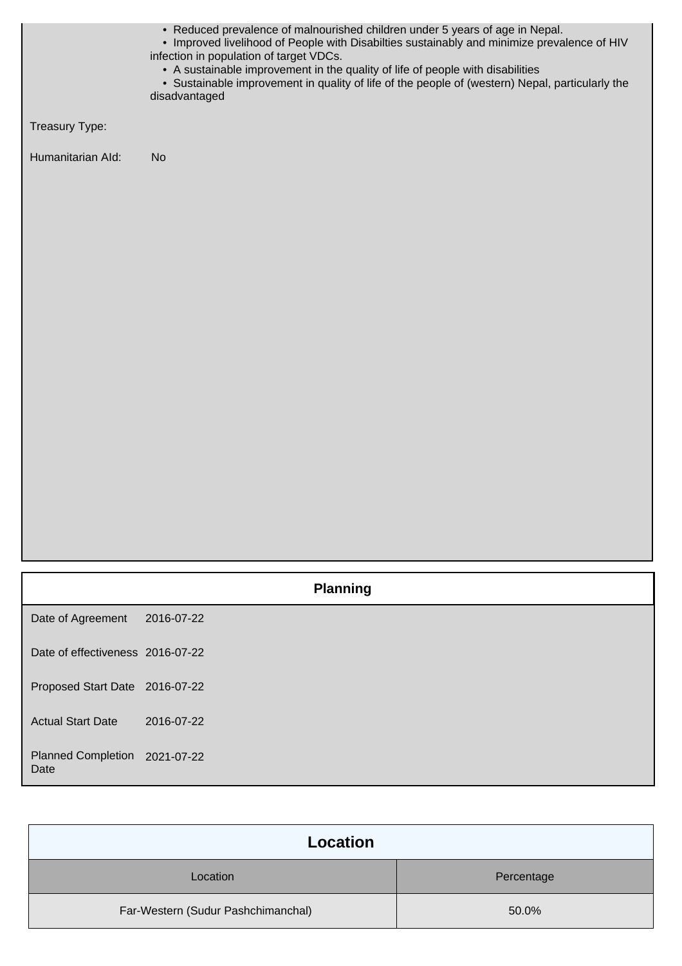|                                       | • Reduced prevalence of malnourished children under 5 years of age in Nepal.<br>• Improved livelihood of People with Disabilties sustainably and minimize prevalence of HIV<br>infection in population of target VDCs.<br>• A sustainable improvement in the quality of life of people with disabilities<br>• Sustainable improvement in quality of life of the people of (western) Nepal, particularly the<br>disadvantaged |
|---------------------------------------|------------------------------------------------------------------------------------------------------------------------------------------------------------------------------------------------------------------------------------------------------------------------------------------------------------------------------------------------------------------------------------------------------------------------------|
| Treasury Type:                        |                                                                                                                                                                                                                                                                                                                                                                                                                              |
| Humanitarian Ald:                     | <b>No</b>                                                                                                                                                                                                                                                                                                                                                                                                                    |
|                                       |                                                                                                                                                                                                                                                                                                                                                                                                                              |
|                                       |                                                                                                                                                                                                                                                                                                                                                                                                                              |
|                                       |                                                                                                                                                                                                                                                                                                                                                                                                                              |
|                                       |                                                                                                                                                                                                                                                                                                                                                                                                                              |
|                                       |                                                                                                                                                                                                                                                                                                                                                                                                                              |
|                                       |                                                                                                                                                                                                                                                                                                                                                                                                                              |
|                                       |                                                                                                                                                                                                                                                                                                                                                                                                                              |
|                                       |                                                                                                                                                                                                                                                                                                                                                                                                                              |
|                                       |                                                                                                                                                                                                                                                                                                                                                                                                                              |
|                                       |                                                                                                                                                                                                                                                                                                                                                                                                                              |
|                                       |                                                                                                                                                                                                                                                                                                                                                                                                                              |
|                                       |                                                                                                                                                                                                                                                                                                                                                                                                                              |
|                                       |                                                                                                                                                                                                                                                                                                                                                                                                                              |
|                                       | <b>Planning</b>                                                                                                                                                                                                                                                                                                                                                                                                              |
| Date of Agreement                     | 2016-07-22                                                                                                                                                                                                                                                                                                                                                                                                                   |
| Date of effectiveness 2016-07-22      |                                                                                                                                                                                                                                                                                                                                                                                                                              |
| Proposed Start Date 2016-07-22        |                                                                                                                                                                                                                                                                                                                                                                                                                              |
| <b>Actual Start Date</b>              | 2016-07-22                                                                                                                                                                                                                                                                                                                                                                                                                   |
| Planned Completion 2021-07-22<br>Date |                                                                                                                                                                                                                                                                                                                                                                                                                              |

| Location                           |            |  |
|------------------------------------|------------|--|
| Location                           | Percentage |  |
| Far-Western (Sudur Pashchimanchal) | 50.0%      |  |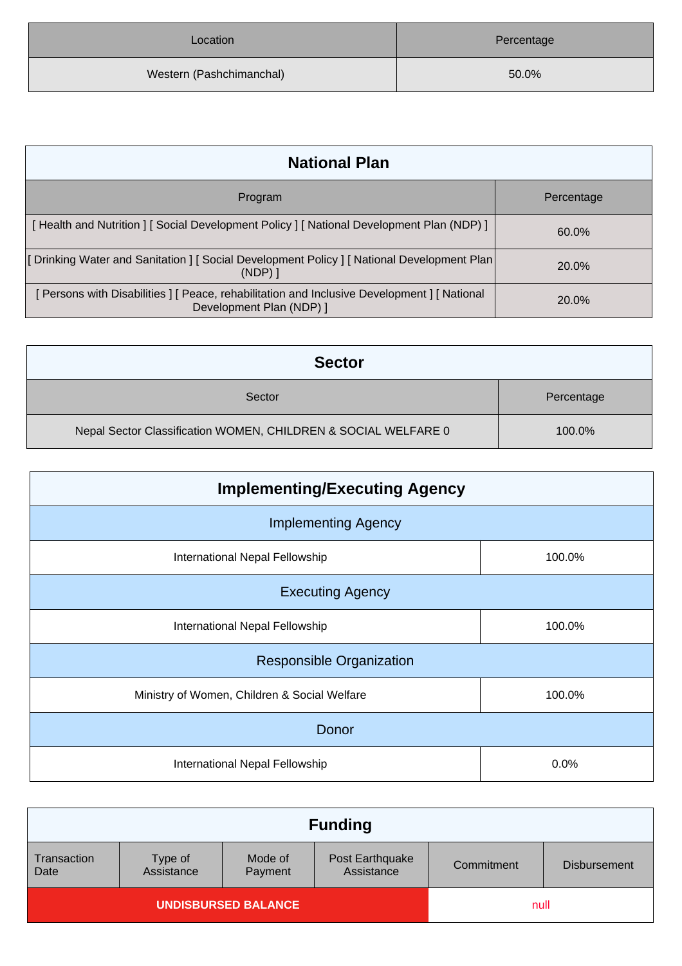| Location                 | Percentage |
|--------------------------|------------|
| Western (Pashchimanchal) | 50.0%      |

| <b>National Plan</b>                                                                                                   |            |  |
|------------------------------------------------------------------------------------------------------------------------|------------|--|
| Program                                                                                                                | Percentage |  |
| [Health and Nutrition ] [Social Development Policy ] [National Development Plan (NDP) ]                                | 60.0%      |  |
| [Drinking Water and Sanitation ] [ Social Development Policy ] [ National Development Plan<br>$(NDP)$ ]                | 20.0%      |  |
| Persons with Disabilities   [ Peace, rehabilitation and Inclusive Development   [ National<br>Development Plan (NDP) 1 | $20.0\%$   |  |

| <b>Sector</b>                                                  |            |
|----------------------------------------------------------------|------------|
| Sector                                                         | Percentage |
| Nepal Sector Classification WOMEN, CHILDREN & SOCIAL WELFARE 0 | 100.0%     |

| <b>Implementing/Executing Agency</b>                   |        |  |
|--------------------------------------------------------|--------|--|
| <b>Implementing Agency</b>                             |        |  |
| International Nepal Fellowship                         | 100.0% |  |
| <b>Executing Agency</b>                                |        |  |
| International Nepal Fellowship<br>100.0%               |        |  |
| <b>Responsible Organization</b>                        |        |  |
| Ministry of Women, Children & Social Welfare<br>100.0% |        |  |
| Donor                                                  |        |  |
| International Nepal Fellowship                         | 0.0%   |  |

|                            |                       |                    | <b>Funding</b>                |            |                     |
|----------------------------|-----------------------|--------------------|-------------------------------|------------|---------------------|
| Transaction<br>Date        | Type of<br>Assistance | Mode of<br>Payment | Post Earthquake<br>Assistance | Commitment | <b>Disbursement</b> |
| <b>UNDISBURSED BALANCE</b> |                       |                    | null                          |            |                     |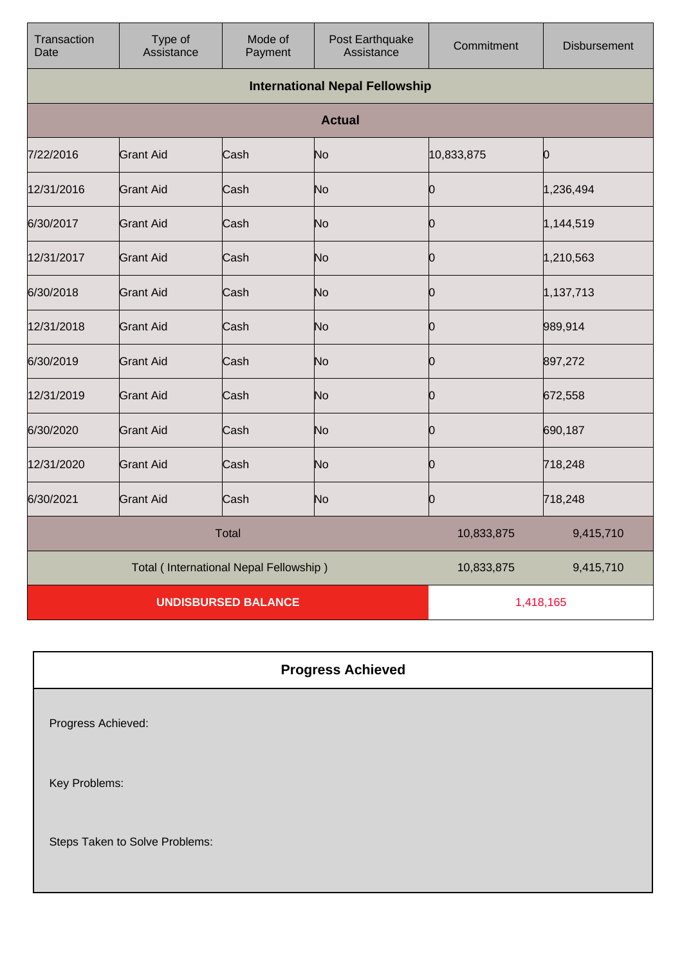| Transaction<br>Date | Type of<br>Assistance | Mode of<br>Payment                     | Post Earthquake<br>Assistance         | Commitment | <b>Disbursement</b> |
|---------------------|-----------------------|----------------------------------------|---------------------------------------|------------|---------------------|
|                     |                       |                                        | <b>International Nepal Fellowship</b> |            |                     |
|                     |                       |                                        | <b>Actual</b>                         |            |                     |
| 7/22/2016           | <b>Grant Aid</b>      | Cash                                   | No                                    | 10,833,875 | O                   |
| 12/31/2016          | <b>Grant Aid</b>      | Cash                                   | No                                    | Ю          | 1,236,494           |
| 6/30/2017           | <b>Grant Aid</b>      | Cash                                   | No                                    | 0          | 1,144,519           |
| 12/31/2017          | <b>Grant Aid</b>      | Cash                                   | No                                    | n          | 1,210,563           |
| 6/30/2018           | <b>Grant Aid</b>      | Cash                                   | No                                    | 10         | 1,137,713           |
| 12/31/2018          | <b>Grant Aid</b>      | Cash                                   | No                                    | Ю          | 989,914             |
| 6/30/2019           | <b>Grant Aid</b>      | Cash                                   | No                                    | IO.        | 897,272             |
| 12/31/2019          | <b>Grant Aid</b>      | Cash                                   | No                                    | n          | 672,558             |
| 6/30/2020           | <b>Grant Aid</b>      | Cash                                   | No                                    | Ю          | 690,187             |
| 12/31/2020          | <b>Grant Aid</b>      | Cash                                   | No                                    | n          | 718,248             |
| 6/30/2021           | <b>Grant Aid</b>      | Cash                                   | No                                    | 0          | 718,248             |
|                     |                       | <b>Total</b>                           |                                       | 10,833,875 | 9,415,710           |
|                     |                       | Total (International Nepal Fellowship) |                                       | 10,833,875 | 9,415,710           |
|                     |                       | <b>UNDISBURSED BALANCE</b>             |                                       | 1,418,165  |                     |

## **Progress Achieved**

Progress Achieved:

Key Problems:

Steps Taken to Solve Problems: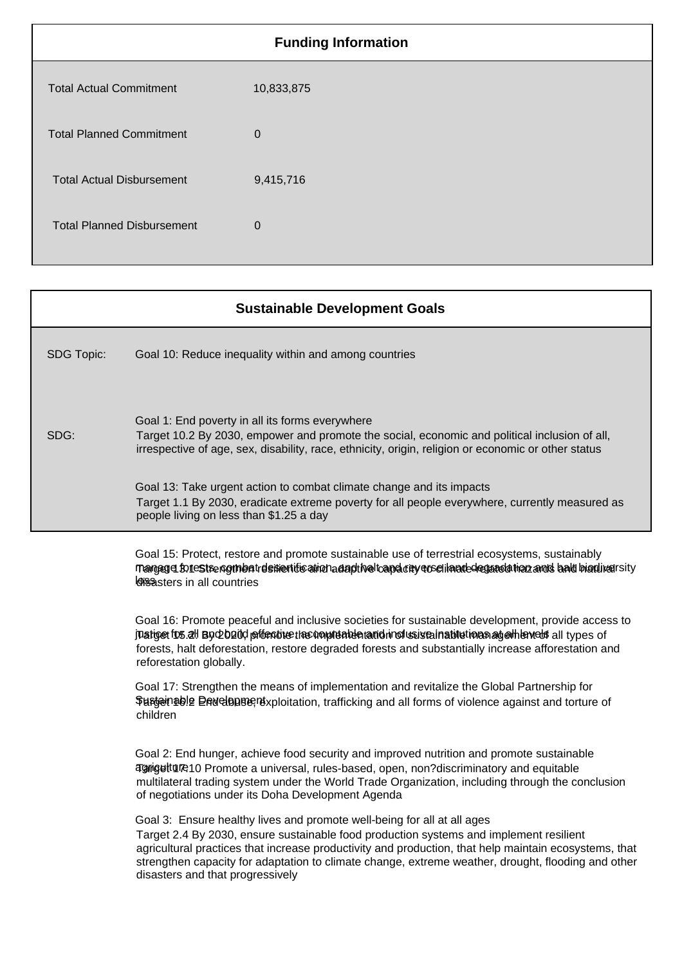| <b>Funding Information</b>        |                |  |
|-----------------------------------|----------------|--|
| <b>Total Actual Commitment</b>    | 10,833,875     |  |
| <b>Total Planned Commitment</b>   | $\overline{0}$ |  |
| <b>Total Actual Disbursement</b>  | 9,415,716      |  |
| <b>Total Planned Disbursement</b> | $\overline{0}$ |  |
|                                   |                |  |

|                   | <b>Sustainable Development Goals</b>                                                                                                                                                                                                                                                                                                                                                                                 |
|-------------------|----------------------------------------------------------------------------------------------------------------------------------------------------------------------------------------------------------------------------------------------------------------------------------------------------------------------------------------------------------------------------------------------------------------------|
| <b>SDG Topic:</b> | Goal 10: Reduce inequality within and among countries                                                                                                                                                                                                                                                                                                                                                                |
| SDG:              | Goal 1: End poverty in all its forms everywhere<br>Target 10.2 By 2030, empower and promote the social, economic and political inclusion of all,<br>irrespective of age, sex, disability, race, ethnicity, origin, religion or economic or other status                                                                                                                                                              |
|                   | Goal 13: Take urgent action to combat climate change and its impacts<br>Target 1.1 By 2030, eradicate extreme poverty for all people everywhere, currently measured as<br>people living on less than \$1.25 a day                                                                                                                                                                                                    |
|                   | Goal 15: Protect, restore and promote sustainable use of terrestrial ecosystems, sustainably<br>Trangeger for restre normbat dement to ainch a dapt had cape on yeose i landed equandation and shall biordiversity<br><b>Gisasters in all countries</b>                                                                                                                                                              |
|                   | Goal 16: Promote peaceful and inclusive societies for sustainable development, provide access to<br>juatiget for all By Do Daid pfontine the unputable nand in of usista inabilitions and which all types of<br>forests, halt deforestation, restore degraded forests and substantially increase afforestation and<br>reforestation globally.                                                                        |
|                   | Goal 17: Strengthen the means of implementation and revitalize the Global Partnership for<br>Surgenable Dad clopse rexploitation, trafficking and all forms of violence against and torture of<br>children                                                                                                                                                                                                           |
|                   | Goal 2: End hunger, achieve food security and improved nutrition and promote sustainable<br>agriguitume 10 Promote a universal, rules-based, open, non?discriminatory and equitable<br>multilateral trading system under the World Trade Organization, including through the conclusion<br>of negotiations under its Doha Development Agenda                                                                         |
|                   | Goal 3: Ensure healthy lives and promote well-being for all at all ages<br>Target 2.4 By 2030, ensure sustainable food production systems and implement resilient<br>agricultural practices that increase productivity and production, that help maintain ecosystems, that<br>strengthen capacity for adaptation to climate change, extreme weather, drought, flooding and other<br>disasters and that progressively |